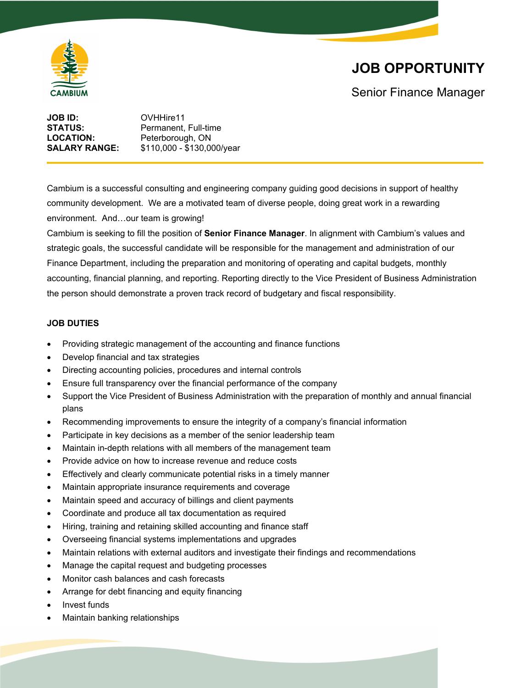

# **JOB OPPORTUNITY**

Senior Finance Manager

| JOB ID:              | OVHHire11                  |
|----------------------|----------------------------|
| STATUS:              | Permanent. Full-time       |
| <b>LOCATION:</b>     | Peterborough, ON           |
| <b>SALARY RANGE:</b> | \$110,000 - \$130,000/year |
|                      |                            |

Cambium is a successful consulting and engineering company guiding good decisions in support of healthy community development. We are a motivated team of diverse people, doing great work in a rewarding environment. And…our team is growing!

Cambium is seeking to fill the position of **Senior Finance Manager**. In alignment with Cambium's values and strategic goals, the successful candidate will be responsible for the management and administration of our Finance Department, including the preparation and monitoring of operating and capital budgets, monthly accounting, financial planning, and reporting. Reporting directly to the Vice President of Business Administration the person should demonstrate a proven track record of budgetary and fiscal responsibility.

### **JOB DUTIES**

- Providing strategic management of the accounting and finance functions
- Develop financial and tax strategies
- Directing accounting policies, procedures and internal controls
- Ensure full transparency over the financial performance of the company
- Support the Vice President of Business Administration with the preparation of monthly and annual financial plans
- Recommending improvements to ensure the integrity of a company's financial information
- Participate in key decisions as a member of the senior leadership team
- Maintain in-depth relations with all members of the management team
- Provide advice on how to increase revenue and reduce costs
- Effectively and clearly communicate potential risks in a timely manner
- Maintain appropriate insurance requirements and coverage
- Maintain speed and accuracy of billings and client payments
- Coordinate and produce all tax documentation as required
- Hiring, training and retaining skilled accounting and finance staff
- Overseeing financial systems implementations and upgrades
- Maintain relations with external auditors and investigate their findings and recommendations
- Manage the capital request and budgeting processes
- Monitor cash balances and cash forecasts
- Arrange for debt financing and equity financing
- Invest funds
- Maintain banking relationships